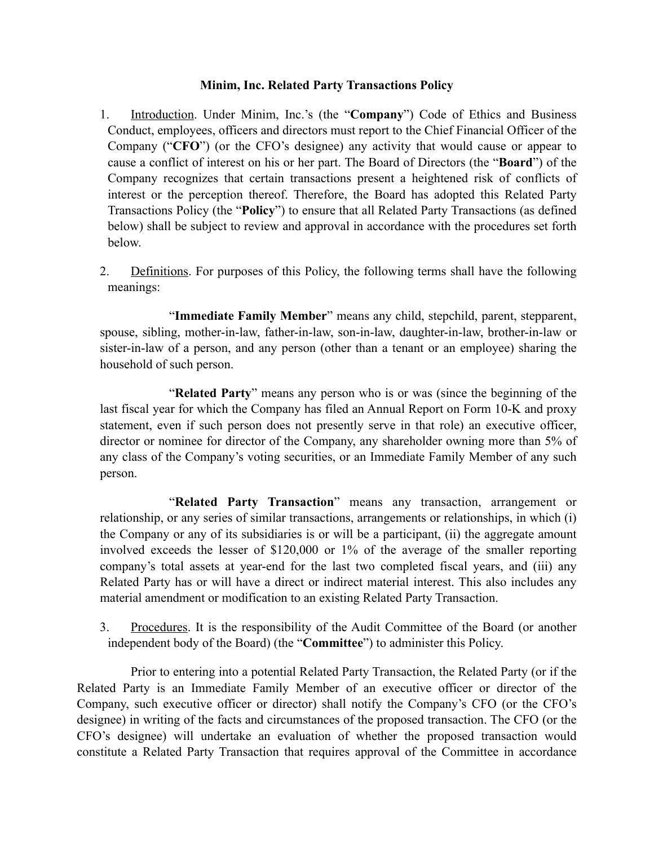## **Minim, Inc. Related Party Transactions Policy**

- 1. Introduction. Under Minim, Inc.'s (the "**Company**") Code of Ethics and Business Conduct, employees, officers and directors must report to the Chief Financial Officer of the Company ("**CFO**") (or the CFO's designee) any activity that would cause or appear to cause a conflict of interest on his or her part. The Board of Directors (the "**Board**") of the Company recognizes that certain transactions present a heightened risk of conflicts of interest or the perception thereof. Therefore, the Board has adopted this Related Party Transactions Policy (the "**Policy**") to ensure that all Related Party Transactions (as defined below) shall be subject to review and approval in accordance with the procedures set forth below.
- 2. Definitions. For purposes of this Policy, the following terms shall have the following meanings:

"**Immediate Family Member**" means any child, stepchild, parent, stepparent, spouse, sibling, mother-in-law, father-in-law, son-in-law, daughter-in-law, brother-in-law or sister-in-law of a person, and any person (other than a tenant or an employee) sharing the household of such person.

"**Related Party**" means any person who is or was (since the beginning of the last fiscal year for which the Company has filed an Annual Report on Form 10-K and proxy statement, even if such person does not presently serve in that role) an executive officer, director or nominee for director of the Company, any shareholder owning more than 5% of any class of the Company's voting securities, or an Immediate Family Member of any such person.

"**Related Party Transaction**" means any transaction, arrangement or relationship, or any series of similar transactions, arrangements or relationships, in which (i) the Company or any of its subsidiaries is or will be a participant, (ii) the aggregate amount involved exceeds the lesser of \$120,000 or 1% of the average of the smaller reporting company's total assets at year-end for the last two completed fiscal years, and (iii) any Related Party has or will have a direct or indirect material interest. This also includes any material amendment or modification to an existing Related Party Transaction.

3. Procedures. It is the responsibility of the Audit Committee of the Board (or another independent body of the Board) (the "**Committee**") to administer this Policy.

Prior to entering into a potential Related Party Transaction, the Related Party (or if the Related Party is an Immediate Family Member of an executive officer or director of the Company, such executive officer or director) shall notify the Company's CFO (or the CFO's designee) in writing of the facts and circumstances of the proposed transaction. The CFO (or the CFO's designee) will undertake an evaluation of whether the proposed transaction would constitute a Related Party Transaction that requires approval of the Committee in accordance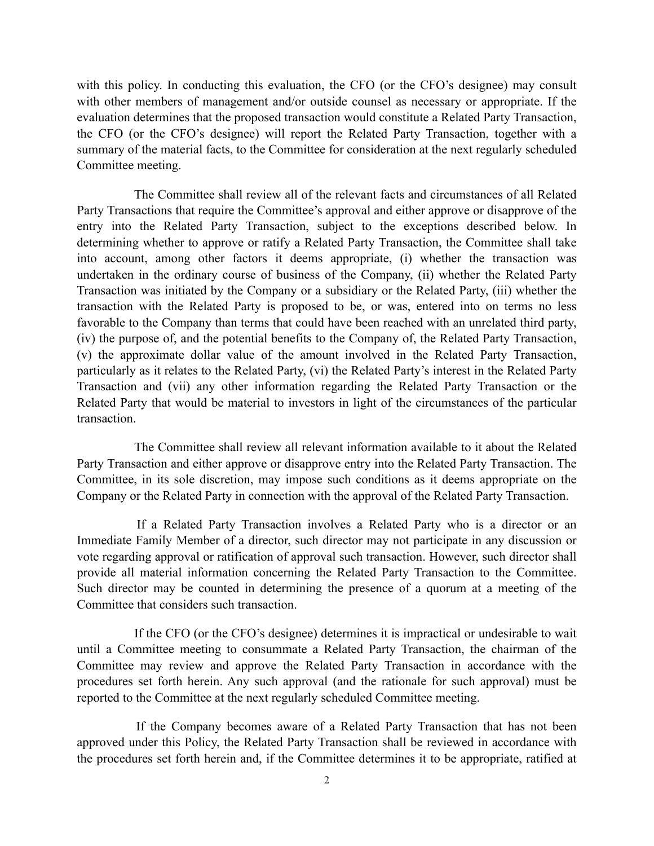with this policy. In conducting this evaluation, the CFO (or the CFO's designee) may consult with other members of management and/or outside counsel as necessary or appropriate. If the evaluation determines that the proposed transaction would constitute a Related Party Transaction, the CFO (or the CFO's designee) will report the Related Party Transaction, together with a summary of the material facts, to the Committee for consideration at the next regularly scheduled Committee meeting.

 The Committee shall review all of the relevant facts and circumstances of all Related Party Transactions that require the Committee's approval and either approve or disapprove of the entry into the Related Party Transaction, subject to the exceptions described below. In determining whether to approve or ratify a Related Party Transaction, the Committee shall take into account, among other factors it deems appropriate, (i) whether the transaction was undertaken in the ordinary course of business of the Company, (ii) whether the Related Party Transaction was initiated by the Company or a subsidiary or the Related Party, (iii) whether the transaction with the Related Party is proposed to be, or was, entered into on terms no less favorable to the Company than terms that could have been reached with an unrelated third party, (iv) the purpose of, and the potential benefits to the Company of, the Related Party Transaction, (v) the approximate dollar value of the amount involved in the Related Party Transaction, particularly as it relates to the Related Party, (vi) the Related Party's interest in the Related Party Transaction and (vii) any other information regarding the Related Party Transaction or the Related Party that would be material to investors in light of the circumstances of the particular transaction.

 The Committee shall review all relevant information available to it about the Related Party Transaction and either approve or disapprove entry into the Related Party Transaction. The Committee, in its sole discretion, may impose such conditions as it deems appropriate on the Company or the Related Party in connection with the approval of the Related Party Transaction.

 If a Related Party Transaction involves a Related Party who is a director or an Immediate Family Member of a director, such director may not participate in any discussion or vote regarding approval or ratification of approval such transaction. However, such director shall provide all material information concerning the Related Party Transaction to the Committee. Such director may be counted in determining the presence of a quorum at a meeting of the Committee that considers such transaction.

 If the CFO (or the CFO's designee) determines it is impractical or undesirable to wait until a Committee meeting to consummate a Related Party Transaction, the chairman of the Committee may review and approve the Related Party Transaction in accordance with the procedures set forth herein. Any such approval (and the rationale for such approval) must be reported to the Committee at the next regularly scheduled Committee meeting.

 If the Company becomes aware of a Related Party Transaction that has not been approved under this Policy, the Related Party Transaction shall be reviewed in accordance with the procedures set forth herein and, if the Committee determines it to be appropriate, ratified at